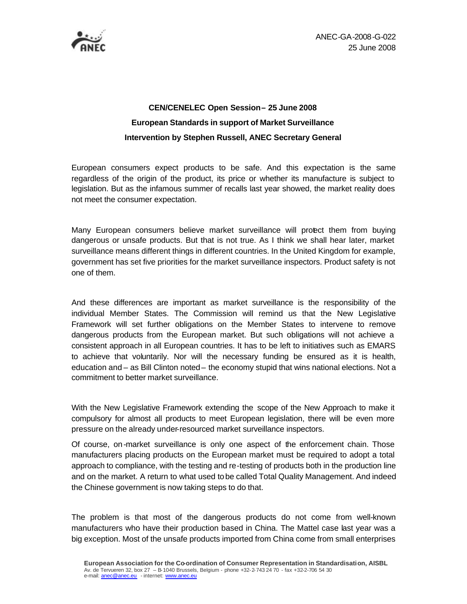

ANEC-GA-2008-G-022 25 June 2008

## **CEN/CENELEC Open Session – 25 June 2008 European Standards in support of Market Surveillance Intervention by Stephen Russell, ANEC Secretary General**

European consumers expect products to be safe. And this expectation is the same regardless of the origin of the product, its price or whether its manufacture is subject to legislation. But as the infamous summer of recalls last year showed, the market reality does not meet the consumer expectation.

Many European consumers believe market surveillance will protect them from buying dangerous or unsafe products. But that is not true. As I think we shall hear later, market surveillance means different things in different countries. In the United Kingdom for example, government has set five priorities for the market surveillance inspectors. Product safety is not one of them.

And these differences are important as market surveillance is the responsibility of the individual Member States. The Commission will remind us that the New Legislative Framework will set further obligations on the Member States to intervene to remove dangerous products from the European market. But such obligations will not achieve a consistent approach in all European countries. It has to be left to initiatives such as EMARS to achieve that voluntarily. Nor will the necessary funding be ensured as it is health, education and – as Bill Clinton noted – the economy stupid that wins national elections. Not a commitment to better market surveillance.

With the New Legislative Framework extending the scope of the New Approach to make it compulsory for almost all products to meet European legislation, there will be even more pressure on the already under-resourced market surveillance inspectors.

Of course, on-market surveillance is only one aspect of the enforcement chain. Those manufacturers placing products on the European market must be required to adopt a total approach to compliance, with the testing and re-testing of products both in the production line and on the market. A return to what used to be called Total Quality Management. And indeed the Chinese government is now taking steps to do that.

The problem is that most of the dangerous products do not come from well-known manufacturers who have their production based in China. The Mattel case last year was a big exception. Most of the unsafe products imported from China come from small enterprises